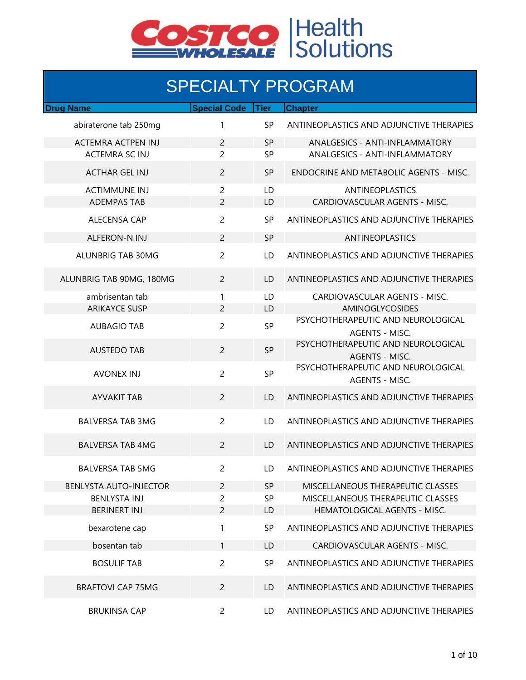

## SPECIALTY PROGRAM

| <b>Drug Name</b>              | <b>Special Code</b> | <b>Tier</b> | <b>Chapter</b>                                              |
|-------------------------------|---------------------|-------------|-------------------------------------------------------------|
| abiraterone tab 250mg         | 1                   | <b>SP</b>   | ANTINEOPLASTICS AND ADJUNCTIVE THERAPIES                    |
|                               |                     |             |                                                             |
| <b>ACTEMRA ACTPEN INJ</b>     | $\overline{2}$      | <b>SP</b>   | <b>ANALGESICS - ANTI-INFLAMMATORY</b>                       |
| <b>ACTEMRA SC INJ</b>         | $\overline{2}$      | <b>SP</b>   | ANALGESICS - ANTI-INFLAMMATORY                              |
| <b>ACTHAR GEL INJ</b>         | $\overline{2}$      | <b>SP</b>   | ENDOCRINE AND METABOLIC AGENTS - MISC.                      |
| <b>ACTIMMUNE INJ</b>          | $\overline{2}$      | LD          | ANTINEOPLASTICS                                             |
| <b>ADEMPAS TAB</b>            | 2                   | LD          | CARDIOVASCULAR AGENTS - MISC.                               |
| <b>ALECENSA CAP</b>           | $\overline{2}$      | <b>SP</b>   | ANTINEOPLASTICS AND ADJUNCTIVE THERAPIES                    |
| ALFERON-N INJ                 | $\overline{2}$      | <b>SP</b>   | ANTINEOPLASTICS                                             |
| ALUNBRIG TAB 30MG             | $\overline{c}$      | LD.         | ANTINEOPLASTICS AND ADJUNCTIVE THERAPIES                    |
| ALUNBRIG TAB 90MG, 180MG      | $\overline{2}$      | LD          | ANTINEOPLASTICS AND ADJUNCTIVE THERAPIES                    |
| ambrisentan tab               | 1                   | LD          | CARDIOVASCULAR AGENTS - MISC.                               |
| <b>ARIKAYCE SUSP</b>          | $\overline{2}$      | LD          | <b>AMINOGLYCOSIDES</b>                                      |
| <b>AUBAGIO TAB</b>            | $\overline{2}$      | SP          | PSYCHOTHERAPEUTIC AND NEUROLOGICAL<br><b>AGENTS - MISC.</b> |
| <b>AUSTEDO TAB</b>            | $\overline{2}$      | <b>SP</b>   | PSYCHOTHERAPEUTIC AND NEUROLOGICAL<br><b>AGENTS - MISC.</b> |
| <b>AVONEX INJ</b>             | $\overline{2}$      | <b>SP</b>   | PSYCHOTHERAPEUTIC AND NEUROLOGICAL<br>AGENTS - MISC.        |
| <b>AYVAKIT TAB</b>            | $\overline{2}$      | LD          | ANTINEOPLASTICS AND ADJUNCTIVE THERAPIES                    |
| <b>BALVERSA TAB 3MG</b>       | 2                   | LD.         | ANTINEOPLASTICS AND ADJUNCTIVE THERAPIES                    |
| <b>BALVERSA TAB 4MG</b>       | $\overline{2}$      | LD          | ANTINEOPLASTICS AND ADJUNCTIVE THERAPIES                    |
| <b>BALVERSA TAB 5MG</b>       | 2                   | LD          | ANTINEOPLASTICS AND ADJUNCTIVE THERAPIES                    |
| <b>BENLYSTA AUTO-INJECTOR</b> | $\overline{c}$      | <b>SP</b>   | MISCELLANEOUS THERAPEUTIC CLASSES                           |
| <b>BENLYSTA INJ</b>           | 2                   | SP          | MISCELLANEOUS THERAPEUTIC CLASSES                           |
| <b>BERINERT INJ</b>           | $\overline{2}$      | LD          | HEMATOLOGICAL AGENTS - MISC.                                |
| bexarotene cap                | 1                   | SP          | ANTINEOPLASTICS AND ADJUNCTIVE THERAPIES                    |
| bosentan tab                  | 1                   | LD          | CARDIOVASCULAR AGENTS - MISC.                               |
| <b>BOSULIF TAB</b>            | $\overline{2}$      | <b>SP</b>   | ANTINEOPLASTICS AND ADJUNCTIVE THERAPIES                    |
| <b>BRAFTOVI CAP 75MG</b>      | $\overline{2}$      | LD.         | ANTINEOPLASTICS AND ADJUNCTIVE THERAPIES                    |
| <b>BRUKINSA CAP</b>           | $\overline{2}$      | LD          | ANTINEOPLASTICS AND ADJUNCTIVE THERAPIES                    |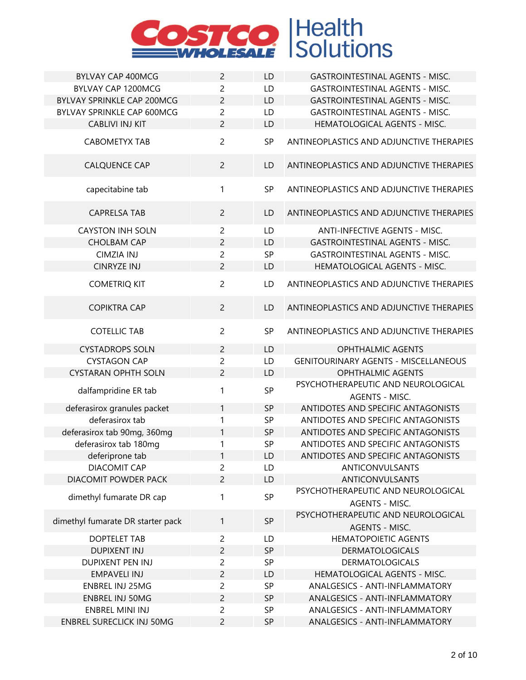

| <b>BYLVAY CAP 400MCG</b>          | $\overline{2}$ | LD        | <b>GASTROINTESTINAL AGENTS - MISC.</b>                      |
|-----------------------------------|----------------|-----------|-------------------------------------------------------------|
| BYLVAY CAP 1200MCG                | $\overline{c}$ | LD        | <b>GASTROINTESTINAL AGENTS - MISC.</b>                      |
| BYLVAY SPRINKLE CAP 200MCG        | $\overline{c}$ | LD        | <b>GASTROINTESTINAL AGENTS - MISC.</b>                      |
| BYLVAY SPRINKLE CAP 600MCG        | $\overline{c}$ | LD        | <b>GASTROINTESTINAL AGENTS - MISC.</b>                      |
| <b>CABLIVI INJ KIT</b>            | $\overline{c}$ | LD        | HEMATOLOGICAL AGENTS - MISC.                                |
| CABOMETYX TAB                     | $\overline{2}$ | SP        | ANTINEOPLASTICS AND ADJUNCTIVE THERAPIES                    |
| <b>CALQUENCE CAP</b>              | $\overline{2}$ | LD        | ANTINEOPLASTICS AND ADJUNCTIVE THERAPIES                    |
| capecitabine tab                  | $\mathbf{1}$   | <b>SP</b> | ANTINEOPLASTICS AND ADJUNCTIVE THERAPIES                    |
| <b>CAPRELSA TAB</b>               | $\overline{2}$ | LD        | ANTINEOPLASTICS AND ADJUNCTIVE THERAPIES                    |
| <b>CAYSTON INH SOLN</b>           | $\overline{2}$ | LD        | <b>ANTI-INFECTIVE AGENTS - MISC.</b>                        |
| <b>CHOLBAM CAP</b>                | $\overline{2}$ | LD        | <b>GASTROINTESTINAL AGENTS - MISC.</b>                      |
| <b>CIMZIA INJ</b>                 | $\overline{c}$ | SP        | <b>GASTROINTESTINAL AGENTS - MISC.</b>                      |
| <b>CINRYZE INJ</b>                | $\overline{2}$ | LD        | HEMATOLOGICAL AGENTS - MISC.                                |
| <b>COMETRIQ KIT</b>               | $\overline{2}$ | LD        | ANTINEOPLASTICS AND ADJUNCTIVE THERAPIES                    |
| <b>COPIKTRA CAP</b>               | $\overline{c}$ | LD        | ANTINEOPLASTICS AND ADJUNCTIVE THERAPIES                    |
| <b>COTELLIC TAB</b>               | $\overline{c}$ | SP        | ANTINEOPLASTICS AND ADJUNCTIVE THERAPIES                    |
| <b>CYSTADROPS SOLN</b>            | $\overline{c}$ | LD        | <b>OPHTHALMIC AGENTS</b>                                    |
| <b>CYSTAGON CAP</b>               | $\overline{c}$ | LD        | <b>GENITOURINARY AGENTS - MISCELLANEOUS</b>                 |
| <b>CYSTARAN OPHTH SOLN</b>        | $\overline{c}$ | LD        | <b>OPHTHALMIC AGENTS</b>                                    |
| dalfampridine ER tab              | 1              | SP        | PSYCHOTHERAPEUTIC AND NEUROLOGICAL                          |
|                                   |                |           | AGENTS - MISC.                                              |
| deferasirox granules packet       | $\mathbf{1}$   | SP        | ANTIDOTES AND SPECIFIC ANTAGONISTS                          |
| deferasirox tab                   | 1              | SP        | ANTIDOTES AND SPECIFIC ANTAGONISTS                          |
| deferasirox tab 90mg, 360mg       | 1              | SP        | ANTIDOTES AND SPECIFIC ANTAGONISTS                          |
| deferasirox tab 180mg             | 1              | SP        | ANTIDOTES AND SPECIFIC ANTAGONISTS                          |
| deferiprone tab                   | $\mathbf{1}$   | LD        | ANTIDOTES AND SPECIFIC ANTAGONISTS                          |
| <b>DIACOMIT CAP</b>               | 2              | LD        | ANTICONVULSANTS                                             |
| DIACOMIT POWDER PACK              | $\overline{2}$ | LD        | ANTICONVULSANTS                                             |
| dimethyl fumarate DR cap          | 1              | SP        | PSYCHOTHERAPEUTIC AND NEUROLOGICAL<br>AGENTS - MISC.        |
| dimethyl fumarate DR starter pack | $\mathbf{1}$   | SP        | PSYCHOTHERAPEUTIC AND NEUROLOGICAL<br><b>AGENTS - MISC.</b> |
| <b>DOPTELET TAB</b>               | $\overline{2}$ | LD        | <b>HEMATOPOIETIC AGENTS</b>                                 |
| <b>DUPIXENT INJ</b>               | $\overline{2}$ | <b>SP</b> | <b>DERMATOLOGICALS</b>                                      |
| <b>DUPIXENT PEN INJ</b>           | $\overline{c}$ | SP        | <b>DERMATOLOGICALS</b>                                      |
| <b>EMPAVELI INJ</b>               | $\overline{c}$ | LD        | HEMATOLOGICAL AGENTS - MISC.                                |
| <b>ENBREL INJ 25MG</b>            | $\overline{c}$ | SP        | ANALGESICS - ANTI-INFLAMMATORY                              |
| <b>ENBREL INJ 50MG</b>            | $\overline{2}$ | <b>SP</b> | ANALGESICS - ANTI-INFLAMMATORY                              |
| <b>ENBREL MINI INJ</b>            | $\overline{c}$ | SP        | ANALGESICS - ANTI-INFLAMMATORY                              |
| <b>ENBREL SURECLICK INJ 50MG</b>  | $\overline{c}$ | <b>SP</b> | ANALGESICS - ANTI-INFLAMMATORY                              |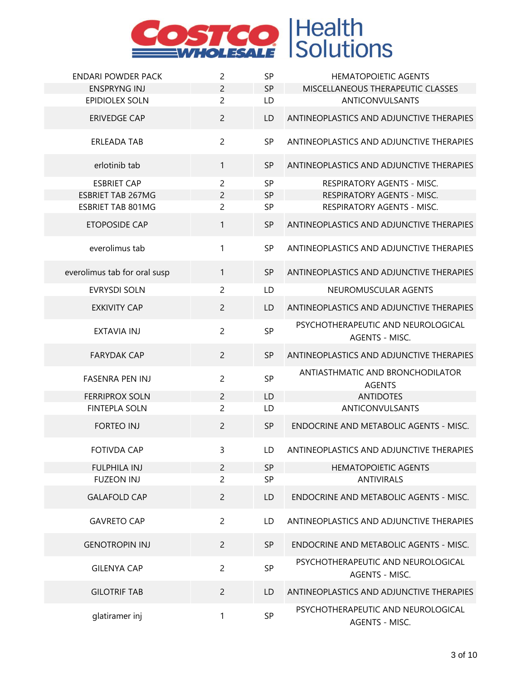

| <b>ENDARI POWDER PACK</b>    | $\overline{c}$ | <b>SP</b> | <b>HEMATOPOIETIC AGENTS</b>                          |
|------------------------------|----------------|-----------|------------------------------------------------------|
| <b>ENSPRYNG INJ</b>          | $\overline{c}$ | <b>SP</b> | MISCELLANEOUS THERAPEUTIC CLASSES                    |
| <b>EPIDIOLEX SOLN</b>        | $\overline{2}$ | LD        | <b>ANTICONVULSANTS</b>                               |
| <b>ERIVEDGE CAP</b>          | $\overline{c}$ | LD        | ANTINEOPLASTICS AND ADJUNCTIVE THERAPIES             |
| ERLEADA TAB                  | $\overline{c}$ | SP        | ANTINEOPLASTICS AND ADJUNCTIVE THERAPIES             |
| erlotinib tab                | 1              | <b>SP</b> | ANTINEOPLASTICS AND ADJUNCTIVE THERAPIES             |
| <b>ESBRIET CAP</b>           | $\overline{c}$ | <b>SP</b> | RESPIRATORY AGENTS - MISC.                           |
| <b>ESBRIET TAB 267MG</b>     | $\overline{c}$ | <b>SP</b> | RESPIRATORY AGENTS - MISC.                           |
| <b>ESBRIET TAB 801MG</b>     | $\overline{c}$ | SP        | RESPIRATORY AGENTS - MISC.                           |
| <b>ETOPOSIDE CAP</b>         | $\mathbf{1}$   | SP        | ANTINEOPLASTICS AND ADJUNCTIVE THERAPIES             |
| everolimus tab               | 1              | <b>SP</b> | ANTINEOPLASTICS AND ADJUNCTIVE THERAPIES             |
| everolimus tab for oral susp | $\mathbf{1}$   | <b>SP</b> | ANTINEOPLASTICS AND ADJUNCTIVE THERAPIES             |
| <b>EVRYSDI SOLN</b>          | $\overline{2}$ | LD        | NEUROMUSCULAR AGENTS                                 |
| <b>EXKIVITY CAP</b>          | $\overline{c}$ | LD        | ANTINEOPLASTICS AND ADJUNCTIVE THERAPIES             |
| <b>EXTAVIA INJ</b>           | $\overline{2}$ | SP        | PSYCHOTHERAPEUTIC AND NEUROLOGICAL<br>AGENTS - MISC. |
| <b>FARYDAK CAP</b>           | $\overline{2}$ | <b>SP</b> | ANTINEOPLASTICS AND ADJUNCTIVE THERAPIES             |
| <b>FASENRA PEN INJ</b>       | $\overline{2}$ | SP        | ANTIASTHMATIC AND BRONCHODILATOR<br><b>AGENTS</b>    |
| <b>FERRIPROX SOLN</b>        | $\overline{2}$ | LD        | <b>ANTIDOTES</b>                                     |
| <b>FINTEPLA SOLN</b>         | $\overline{2}$ | LD        | <b>ANTICONVULSANTS</b>                               |
| <b>FORTEO INJ</b>            | $\overline{2}$ | <b>SP</b> | ENDOCRINE AND METABOLIC AGENTS - MISC.               |
| <b>FOTIVDA CAP</b>           | 3              | LD        | ANTINEOPLASTICS AND ADJUNCTIVE THERAPIES             |
| <b>FULPHILA INJ</b>          | $\overline{2}$ | <b>SP</b> | <b>HEMATOPOIETIC AGENTS</b>                          |
| <b>FUZEON INJ</b>            | $\overline{c}$ | SP        | <b>ANTIVIRALS</b>                                    |
| <b>GALAFOLD CAP</b>          | $\overline{c}$ | LD        | ENDOCRINE AND METABOLIC AGENTS - MISC.               |
| <b>GAVRETO CAP</b>           | $\overline{c}$ | LD        | ANTINEOPLASTICS AND ADJUNCTIVE THERAPIES             |
| <b>GENOTROPIN INJ</b>        | $\overline{2}$ | <b>SP</b> | ENDOCRINE AND METABOLIC AGENTS - MISC.               |
| <b>GILENYA CAP</b>           | $\overline{2}$ | SP        | PSYCHOTHERAPEUTIC AND NEUROLOGICAL<br>AGENTS - MISC. |
| <b>GILOTRIF TAB</b>          | $\overline{2}$ | LD        | ANTINEOPLASTICS AND ADJUNCTIVE THERAPIES             |
| glatiramer inj               | 1              | SP        | PSYCHOTHERAPEUTIC AND NEUROLOGICAL<br>AGENTS - MISC. |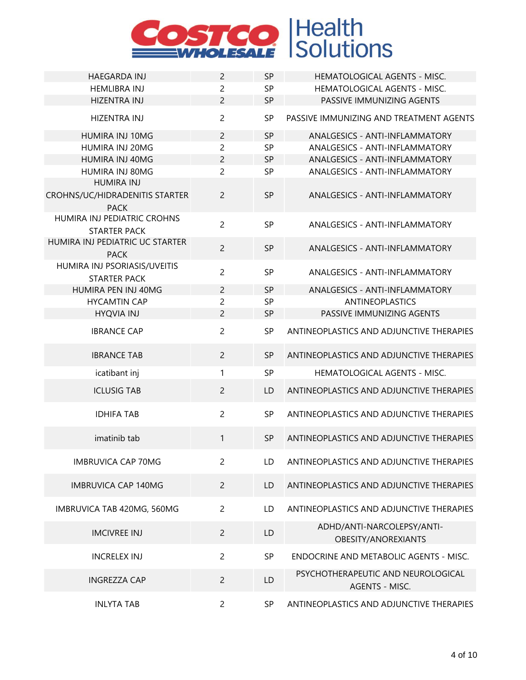

| <b>HAEGARDA INJ</b>                                                | $\overline{c}$ | <b>SP</b> | <b>HEMATOLOGICAL AGENTS - MISC.</b>                  |
|--------------------------------------------------------------------|----------------|-----------|------------------------------------------------------|
| <b>HEMLIBRA INJ</b>                                                | 2              | <b>SP</b> | HEMATOLOGICAL AGENTS - MISC.                         |
| <b>HIZENTRA INJ</b>                                                | $\overline{c}$ | <b>SP</b> | PASSIVE IMMUNIZING AGENTS                            |
| <b>HIZENTRA INJ</b>                                                | $\overline{c}$ | <b>SP</b> | PASSIVE IMMUNIZING AND TREATMENT AGENTS              |
| HUMIRA INJ 10MG                                                    | $\overline{c}$ | <b>SP</b> | <b>ANALGESICS - ANTI-INFLAMMATORY</b>                |
| HUMIRA INJ 20MG                                                    | $\overline{c}$ | <b>SP</b> | ANALGESICS - ANTI-INFLAMMATORY                       |
| HUMIRA INJ 40MG                                                    | $\overline{c}$ | <b>SP</b> | <b>ANALGESICS - ANTI-INFLAMMATORY</b>                |
| HUMIRA INJ 80MG                                                    | $\overline{2}$ | <b>SP</b> | ANALGESICS - ANTI-INFLAMMATORY                       |
| <b>HUMIRA INJ</b><br>CROHNS/UC/HIDRADENITIS STARTER<br><b>PACK</b> | $\overline{2}$ | <b>SP</b> | <b>ANALGESICS - ANTI-INFLAMMATORY</b>                |
| HUMIRA INJ PEDIATRIC CROHNS<br><b>STARTER PACK</b>                 | $\overline{c}$ | <b>SP</b> | ANALGESICS - ANTI-INFLAMMATORY                       |
| HUMIRA INJ PEDIATRIC UC STARTER<br><b>PACK</b>                     | $\overline{c}$ | <b>SP</b> | ANALGESICS - ANTI-INFLAMMATORY                       |
| HUMIRA INJ PSORIASIS/UVEITIS<br><b>STARTER PACK</b>                | $\overline{2}$ | <b>SP</b> | ANALGESICS - ANTI-INFLAMMATORY                       |
| HUMIRA PEN INJ 40MG                                                | $\overline{c}$ | <b>SP</b> | <b>ANALGESICS - ANTI-INFLAMMATORY</b>                |
| <b>HYCAMTIN CAP</b>                                                | $\overline{c}$ | SP        | <b>ANTINEOPLASTICS</b>                               |
| <b>HYQVIA INJ</b>                                                  | $\overline{c}$ | <b>SP</b> | PASSIVE IMMUNIZING AGENTS                            |
| <b>IBRANCE CAP</b>                                                 | $\overline{2}$ | <b>SP</b> | ANTINEOPLASTICS AND ADJUNCTIVE THERAPIES             |
| <b>IBRANCE TAB</b>                                                 | $\overline{2}$ | <b>SP</b> | ANTINEOPLASTICS AND ADJUNCTIVE THERAPIES             |
| icatibant inj                                                      | 1              | <b>SP</b> | HEMATOLOGICAL AGENTS - MISC.                         |
| <b>ICLUSIG TAB</b>                                                 | $\overline{2}$ | LD        | ANTINEOPLASTICS AND ADJUNCTIVE THERAPIES             |
| <b>IDHIFA TAB</b>                                                  | $\overline{2}$ | SP        | ANTINEOPLASTICS AND ADJUNCTIVE THERAPIES             |
| imatinib tab                                                       | 1              | <b>SP</b> | ANTINEOPLASTICS AND ADJUNCTIVE THERAPIES             |
| <b>IMBRUVICA CAP 70MG</b>                                          | $\overline{c}$ | LD        | ANTINEOPLASTICS AND ADJUNCTIVE THERAPIES             |
| <b>IMBRUVICA CAP 140MG</b>                                         | $\overline{c}$ | LD        | ANTINEOPLASTICS AND ADJUNCTIVE THERAPIES             |
| IMBRUVICA TAB 420MG, 560MG                                         | $\overline{2}$ | LD        | ANTINEOPLASTICS AND ADJUNCTIVE THERAPIES             |
| <b>IMCIVREE INJ</b>                                                | $\overline{2}$ | LD        | ADHD/ANTI-NARCOLEPSY/ANTI-<br>OBESITY/ANOREXIANTS    |
| <b>INCRELEX INJ</b>                                                | $\overline{2}$ | <b>SP</b> | ENDOCRINE AND METABOLIC AGENTS - MISC.               |
| <b>INGREZZA CAP</b>                                                | $\overline{c}$ | LD        | PSYCHOTHERAPEUTIC AND NEUROLOGICAL<br>AGENTS - MISC. |
| <b>INLYTA TAB</b>                                                  | $\overline{c}$ | <b>SP</b> | ANTINEOPLASTICS AND ADJUNCTIVE THERAPIES             |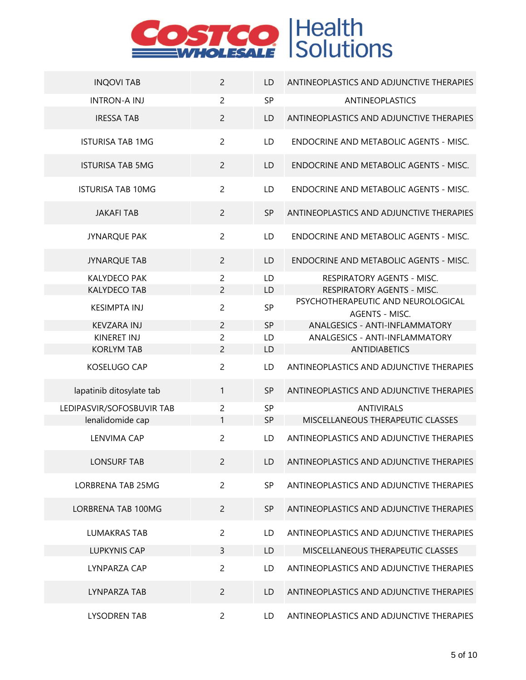

| <b>INQOVI TAB</b>         | $\overline{2}$ | LD        | ANTINEOPLASTICS AND ADJUNCTIVE THERAPIES             |
|---------------------------|----------------|-----------|------------------------------------------------------|
| <b>INTRON-A INJ</b>       | $\overline{2}$ | SP        | <b>ANTINEOPLASTICS</b>                               |
| <b>IRESSA TAB</b>         | $\overline{c}$ | <b>LD</b> | ANTINEOPLASTICS AND ADJUNCTIVE THERAPIES             |
| <b>ISTURISA TAB 1MG</b>   | $\overline{2}$ | LD        | ENDOCRINE AND METABOLIC AGENTS - MISC.               |
| <b>ISTURISA TAB 5MG</b>   | $\overline{2}$ | LD        | ENDOCRINE AND METABOLIC AGENTS - MISC.               |
| <b>ISTURISA TAB 10MG</b>  | $\overline{2}$ | LD        | ENDOCRINE AND METABOLIC AGENTS - MISC.               |
| <b>JAKAFI TAB</b>         | $\overline{2}$ | <b>SP</b> | ANTINEOPLASTICS AND ADJUNCTIVE THERAPIES             |
| <b>JYNARQUE PAK</b>       | $\overline{c}$ | LD        | ENDOCRINE AND METABOLIC AGENTS - MISC.               |
| <b>JYNARQUE TAB</b>       | $\overline{2}$ | LD        | ENDOCRINE AND METABOLIC AGENTS - MISC.               |
| <b>KALYDECO PAK</b>       | 2              | LD        | RESPIRATORY AGENTS - MISC.                           |
| <b>KALYDECO TAB</b>       | 2              | LD        | RESPIRATORY AGENTS - MISC.                           |
| <b>KESIMPTA INJ</b>       | $\overline{c}$ | SP        | PSYCHOTHERAPEUTIC AND NEUROLOGICAL<br>AGENTS - MISC. |
| <b>KEVZARA INJ</b>        | $\overline{2}$ | <b>SP</b> | ANALGESICS - ANTI-INFLAMMATORY                       |
| <b>KINERET INJ</b>        | 2              | LD        | ANALGESICS - ANTI-INFLAMMATORY                       |
| <b>KORLYM TAB</b>         | 2              | LD        | <b>ANTIDIABETICS</b>                                 |
| KOSELUGO CAP              | $\overline{2}$ | LD        | ANTINEOPLASTICS AND ADJUNCTIVE THERAPIES             |
| lapatinib ditosylate tab  | 1              | <b>SP</b> | ANTINEOPLASTICS AND ADJUNCTIVE THERAPIES             |
| LEDIPASVIR/SOFOSBUVIR TAB | $\overline{c}$ | <b>SP</b> | <b>ANTIVIRALS</b>                                    |
| lenalidomide cap          | $\mathbf{1}$   | <b>SP</b> | MISCELLANEOUS THERAPEUTIC CLASSES                    |
| <b>LENVIMA CAP</b>        | $\overline{2}$ | LD        | ANTINEOPLASTICS AND ADJUNCTIVE THERAPIES             |
| <b>LONSURF TAB</b>        | 2              | LD        | ANTINEOPLASTICS AND ADJUNCTIVE THERAPIES             |
| <b>LORBRENA TAB 25MG</b>  | $\overline{2}$ | <b>SP</b> | ANTINEOPLASTICS AND ADJUNCTIVE THERAPIES             |
| LORBRENA TAB 100MG        | $\overline{2}$ | <b>SP</b> | ANTINEOPLASTICS AND ADJUNCTIVE THERAPIES             |
| <b>LUMAKRAS TAB</b>       | $\overline{c}$ | LD.       | ANTINEOPLASTICS AND ADJUNCTIVE THERAPIES             |
| <b>LUPKYNIS CAP</b>       | 3              | LD.       | MISCELLANEOUS THERAPEUTIC CLASSES                    |
| <b>LYNPARZA CAP</b>       | $\overline{c}$ | LD.       | ANTINEOPLASTICS AND ADJUNCTIVE THERAPIES             |
| LYNPARZA TAB              | $\overline{2}$ | LD.       | ANTINEOPLASTICS AND ADJUNCTIVE THERAPIES             |
| <b>LYSODREN TAB</b>       | $\overline{2}$ | LD.       | ANTINEOPLASTICS AND ADJUNCTIVE THERAPIES             |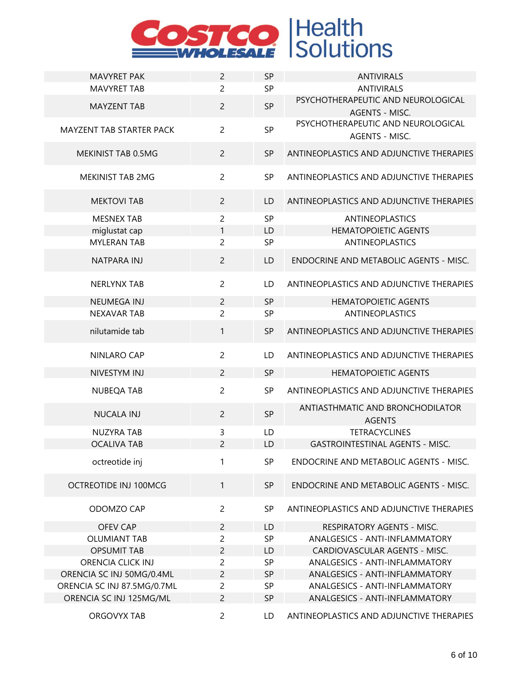

| <b>MAVYRET PAK</b>              | $\overline{2}$ | SP        | <b>ANTIVIRALS</b>                                                      |
|---------------------------------|----------------|-----------|------------------------------------------------------------------------|
| <b>MAVYRET TAB</b>              | $\overline{2}$ | SP        | <b>ANTIVIRALS</b>                                                      |
| <b>MAYZENT TAB</b>              | $\overline{2}$ | <b>SP</b> | PSYCHOTHERAPEUTIC AND NEUROLOGICAL                                     |
| <b>MAYZENT TAB STARTER PACK</b> | $\overline{2}$ | SP        | AGENTS - MISC.<br>PSYCHOTHERAPEUTIC AND NEUROLOGICAL<br>AGENTS - MISC. |
| MEKINIST TAB 0.5MG              | $\overline{2}$ | <b>SP</b> | ANTINEOPLASTICS AND ADJUNCTIVE THERAPIES                               |
| MEKINIST TAB 2MG                | $\overline{2}$ | SP        | ANTINEOPLASTICS AND ADJUNCTIVE THERAPIES                               |
| <b>MEKTOVI TAB</b>              | $\overline{2}$ | LD        | ANTINEOPLASTICS AND ADJUNCTIVE THERAPIES                               |
| <b>MESNEX TAB</b>               | $\overline{2}$ | SP        | <b>ANTINEOPLASTICS</b>                                                 |
| miglustat cap                   | 1              | LD        | <b>HEMATOPOIETIC AGENTS</b>                                            |
| <b>MYLERAN TAB</b>              | $\overline{2}$ | SP        | <b>ANTINEOPLASTICS</b>                                                 |
| NATPARA INJ                     | $\overline{2}$ | LD        | ENDOCRINE AND METABOLIC AGENTS - MISC.                                 |
| <b>NERLYNX TAB</b>              | $\overline{2}$ | LD        | ANTINEOPLASTICS AND ADJUNCTIVE THERAPIES                               |
| <b>NEUMEGA INJ</b>              | $\overline{c}$ | <b>SP</b> | <b>HEMATOPOIETIC AGENTS</b>                                            |
| <b>NEXAVAR TAB</b>              | $\overline{2}$ | SP        | <b>ANTINEOPLASTICS</b>                                                 |
| nilutamide tab                  | $\mathbf{1}$   | <b>SP</b> | ANTINEOPLASTICS AND ADJUNCTIVE THERAPIES                               |
| NINLARO CAP                     | $\overline{2}$ | LD        | ANTINEOPLASTICS AND ADJUNCTIVE THERAPIES                               |
| NIVESTYM INJ                    | $\overline{2}$ | <b>SP</b> | <b>HEMATOPOIETIC AGENTS</b>                                            |
| <b>NUBEQA TAB</b>               | $\overline{c}$ | <b>SP</b> | ANTINEOPLASTICS AND ADJUNCTIVE THERAPIES                               |
| <b>NUCALA INJ</b>               | $\overline{2}$ | <b>SP</b> | ANTIASTHMATIC AND BRONCHODILATOR<br><b>AGENTS</b>                      |
| <b>NUZYRA TAB</b>               | 3              | LD        | <b>TETRACYCLINES</b>                                                   |
| <b>OCALIVA TAB</b>              | $\overline{2}$ | LD        | <b>GASTROINTESTINAL AGENTS - MISC.</b>                                 |
| octreotide inj                  | 1              | <b>SP</b> | ENDOCRINE AND METABOLIC AGENTS - MISC.                                 |
| OCTREOTIDE INJ 100MCG           | 1              | <b>SP</b> | ENDOCRINE AND METABOLIC AGENTS - MISC.                                 |
| ODOMZO CAP                      | $\overline{2}$ | <b>SP</b> | ANTINEOPLASTICS AND ADJUNCTIVE THERAPIES                               |
| <b>OFEV CAP</b>                 | $\overline{2}$ | LD        | RESPIRATORY AGENTS - MISC.                                             |
| <b>OLUMIANT TAB</b>             | $\overline{c}$ | SP        | ANALGESICS - ANTI-INFLAMMATORY                                         |
| <b>OPSUMIT TAB</b>              | $\overline{c}$ | LD        | CARDIOVASCULAR AGENTS - MISC.                                          |
| <b>ORENCIA CLICK INJ</b>        | $\overline{c}$ | SP        | ANALGESICS - ANTI-INFLAMMATORY                                         |
| ORENCIA SC INJ 50MG/0.4ML       | $\overline{c}$ | <b>SP</b> | ANALGESICS - ANTI-INFLAMMATORY                                         |
| ORENCIA SC INJ 87.5MG/0.7ML     | $\overline{2}$ | SP        | ANALGESICS - ANTI-INFLAMMATORY                                         |
| ORENCIA SC INJ 125MG/ML         | $\overline{c}$ | <b>SP</b> | ANALGESICS - ANTI-INFLAMMATORY                                         |
| ORGOVYX TAB                     | $\overline{2}$ | LD        | ANTINEOPLASTICS AND ADJUNCTIVE THERAPIES                               |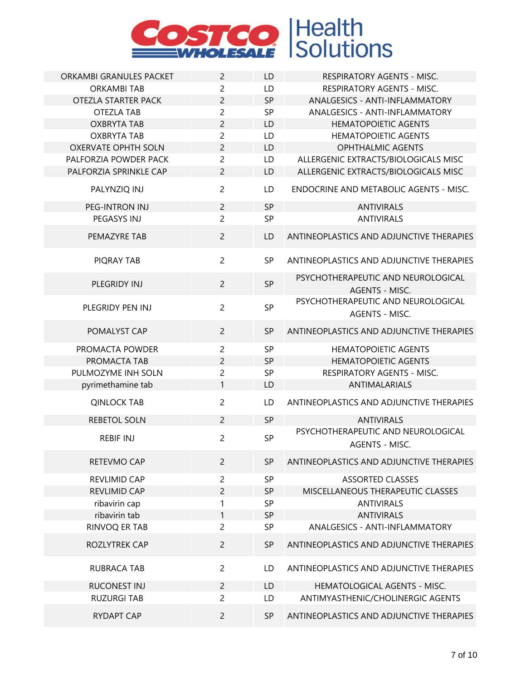

| ORKAMBI GRANULES PACKET    | $\overline{2}$ | LD        | RESPIRATORY AGENTS - MISC.                                  |
|----------------------------|----------------|-----------|-------------------------------------------------------------|
| <b>ORKAMBI TAB</b>         | $\overline{c}$ | LD        | <b>RESPIRATORY AGENTS - MISC.</b>                           |
| OTEZLA STARTER PACK        | $\overline{2}$ | SP        | ANALGESICS - ANTI-INFLAMMATORY                              |
| <b>OTEZLA TAB</b>          | $\overline{c}$ | SP        | ANALGESICS - ANTI-INFLAMMATORY                              |
| <b>OXBRYTA TAB</b>         | $\overline{c}$ | LD        | <b>HEMATOPOIETIC AGENTS</b>                                 |
| <b>OXBRYTA TAB</b>         | $\overline{c}$ | LD        | <b>HEMATOPOIETIC AGENTS</b>                                 |
| <b>OXERVATE OPHTH SOLN</b> | $\overline{c}$ | LD        | <b>OPHTHALMIC AGENTS</b>                                    |
| PALFORZIA POWDER PACK      | $\overline{2}$ | LD        | ALLERGENIC EXTRACTS/BIOLOGICALS MISC                        |
| PALFORZIA SPRINKLE CAP     | $\overline{2}$ | LD        | ALLERGENIC EXTRACTS/BIOLOGICALS MISC                        |
| PALYNZIQ INJ               | $\overline{2}$ | LD        | ENDOCRINE AND METABOLIC AGENTS - MISC.                      |
| PEG-INTRON INJ             | $\overline{2}$ | SP        | <b>ANTIVIRALS</b>                                           |
| PEGASYS INJ                | $\overline{2}$ | SP        | <b>ANTIVIRALS</b>                                           |
| PEMAZYRE TAB               | $\overline{2}$ | LD        | ANTINEOPLASTICS AND ADJUNCTIVE THERAPIES                    |
| PIQRAY TAB                 | $\overline{2}$ | <b>SP</b> | ANTINEOPLASTICS AND ADJUNCTIVE THERAPIES                    |
| PLEGRIDY INJ               | $\overline{2}$ | <b>SP</b> | PSYCHOTHERAPEUTIC AND NEUROLOGICAL<br><b>AGENTS - MISC.</b> |
| PLEGRIDY PEN INJ           | $\overline{2}$ | <b>SP</b> | PSYCHOTHERAPEUTIC AND NEUROLOGICAL<br>AGENTS - MISC.        |
| POMALYST CAP               | $\overline{2}$ | SP        | ANTINEOPLASTICS AND ADJUNCTIVE THERAPIES                    |
| PROMACTA POWDER            | $\overline{2}$ | SP        | <b>HEMATOPOIETIC AGENTS</b>                                 |
| PROMACTA TAB               | $\overline{c}$ | <b>SP</b> | <b>HEMATOPOIETIC AGENTS</b>                                 |
| PULMOZYME INH SOLN         | $\overline{c}$ | SP        | RESPIRATORY AGENTS - MISC.                                  |
| pyrimethamine tab          | 1              | LD        | <b>ANTIMALARIALS</b>                                        |
| <b>QINLOCK TAB</b>         | $\overline{c}$ | LD        | ANTINEOPLASTICS AND ADJUNCTIVE THERAPIES                    |
| <b>REBETOL SOLN</b>        | $\overline{2}$ | SP        | <b>ANTIVIRALS</b>                                           |
| <b>REBIF INJ</b>           | $\overline{2}$ | SP        | PSYCHOTHERAPEUTIC AND NEUROLOGICAL<br>AGENTS - MISC.        |
| RETEVMO CAP                | $\overline{2}$ | <b>SP</b> | ANTINEOPLASTICS AND ADJUNCTIVE THERAPIES                    |
| REVLIMID CAP               | $\overline{c}$ | SP        | <b>ASSORTED CLASSES</b>                                     |
| REVLIMID CAP               | $\overline{2}$ | <b>SP</b> | MISCELLANEOUS THERAPEUTIC CLASSES                           |
| ribavirin cap              | 1              | <b>SP</b> | <b>ANTIVIRALS</b>                                           |
| ribavirin tab              | 1              | <b>SP</b> | <b>ANTIVIRALS</b>                                           |
| RINVOQ ER TAB              | $\overline{2}$ | SP        | ANALGESICS - ANTI-INFLAMMATORY                              |
| ROZLYTREK CAP              | $\overline{2}$ | SP        | ANTINEOPLASTICS AND ADJUNCTIVE THERAPIES                    |
| <b>RUBRACA TAB</b>         | $\overline{c}$ | LD        | ANTINEOPLASTICS AND ADJUNCTIVE THERAPIES                    |
| <b>RUCONEST INJ</b>        | $\overline{2}$ | LD        | HEMATOLOGICAL AGENTS - MISC.                                |
| <b>RUZURGI TAB</b>         | $\overline{c}$ | LD        | ANTIMYASTHENIC/CHOLINERGIC AGENTS                           |
|                            |                |           |                                                             |
| <b>RYDAPT CAP</b>          | $\overline{2}$ | <b>SP</b> | ANTINEOPLASTICS AND ADJUNCTIVE THERAPIES                    |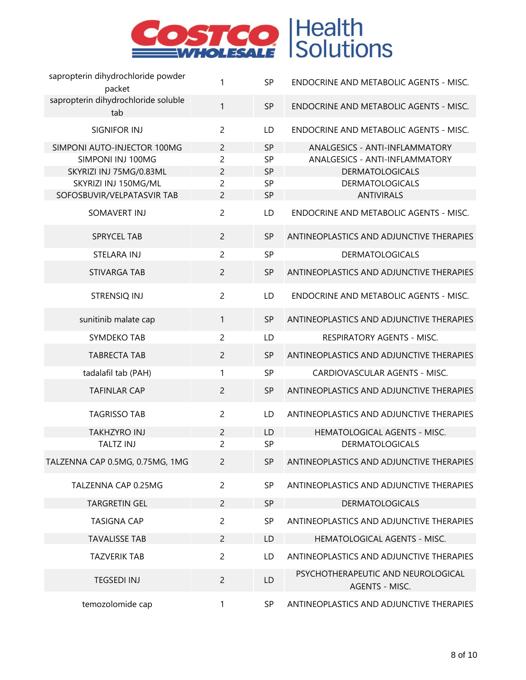

| sapropterin dihydrochloride powder<br>packet                                                                                      | $\mathbf{1}$                                                                           | <b>SP</b>                                       | ENDOCRINE AND METABOLIC AGENTS - MISC.                                                                                                    |
|-----------------------------------------------------------------------------------------------------------------------------------|----------------------------------------------------------------------------------------|-------------------------------------------------|-------------------------------------------------------------------------------------------------------------------------------------------|
| sapropterin dihydrochloride soluble<br>tab                                                                                        | $\mathbf{1}$                                                                           | <b>SP</b>                                       | ENDOCRINE AND METABOLIC AGENTS - MISC.                                                                                                    |
| SIGNIFOR INJ                                                                                                                      | $\overline{2}$                                                                         | LD                                              | <b>ENDOCRINE AND METABOLIC AGENTS - MISC.</b>                                                                                             |
| SIMPONI AUTO-INJECTOR 100MG<br>SIMPONI INJ 100MG<br>SKYRIZI INJ 75MG/0.83ML<br>SKYRIZI INJ 150MG/ML<br>SOFOSBUVIR/VELPATASVIR TAB | $\overline{2}$<br>$\overline{c}$<br>$\overline{2}$<br>$\overline{2}$<br>$\overline{2}$ | <b>SP</b><br>SP<br><b>SP</b><br>SP<br><b>SP</b> | ANALGESICS - ANTI-INFLAMMATORY<br>ANALGESICS - ANTI-INFLAMMATORY<br><b>DERMATOLOGICALS</b><br><b>DERMATOLOGICALS</b><br><b>ANTIVIRALS</b> |
| SOMAVERT INJ                                                                                                                      | $\overline{2}$                                                                         | LD                                              | ENDOCRINE AND METABOLIC AGENTS - MISC.                                                                                                    |
| <b>SPRYCEL TAB</b>                                                                                                                | $\overline{2}$                                                                         | <b>SP</b>                                       | ANTINEOPLASTICS AND ADJUNCTIVE THERAPIES                                                                                                  |
| STELARA INJ                                                                                                                       | $\overline{2}$                                                                         | SP                                              | <b>DERMATOLOGICALS</b>                                                                                                                    |
| STIVARGA TAB                                                                                                                      | $\overline{2}$                                                                         | <b>SP</b>                                       | ANTINEOPLASTICS AND ADJUNCTIVE THERAPIES                                                                                                  |
| STRENSIQ INJ                                                                                                                      | $\overline{2}$                                                                         | LD                                              | ENDOCRINE AND METABOLIC AGENTS - MISC.                                                                                                    |
| sunitinib malate cap                                                                                                              | 1                                                                                      | <b>SP</b>                                       | ANTINEOPLASTICS AND ADJUNCTIVE THERAPIES                                                                                                  |
| SYMDEKO TAB                                                                                                                       | $\overline{2}$                                                                         | LD                                              | RESPIRATORY AGENTS - MISC.                                                                                                                |
| <b>TABRECTA TAB</b>                                                                                                               | $\overline{2}$                                                                         | <b>SP</b>                                       | ANTINEOPLASTICS AND ADJUNCTIVE THERAPIES                                                                                                  |
| tadalafil tab (PAH)                                                                                                               | $\mathbf{1}$                                                                           | SP                                              | CARDIOVASCULAR AGENTS - MISC.                                                                                                             |
| <b>TAFINLAR CAP</b>                                                                                                               | $\overline{2}$                                                                         | <b>SP</b>                                       | ANTINEOPLASTICS AND ADJUNCTIVE THERAPIES                                                                                                  |
| <b>TAGRISSO TAB</b>                                                                                                               | $\overline{2}$                                                                         | LD                                              | ANTINEOPLASTICS AND ADJUNCTIVE THERAPIES                                                                                                  |
| <b>TAKHZYRO INJ</b>                                                                                                               | $\overline{c}$                                                                         | LD                                              | HEMATOLOGICAL AGENTS - MISC.                                                                                                              |
| <b>TALTZ INJ</b>                                                                                                                  | $\overline{c}$                                                                         | <b>SP</b>                                       | <b>DERMATOLOGICALS</b>                                                                                                                    |
| TALZENNA CAP 0.5MG, 0.75MG, 1MG                                                                                                   | $\overline{2}$                                                                         | <b>SP</b>                                       | ANTINEOPLASTICS AND ADJUNCTIVE THERAPIES                                                                                                  |
| TALZENNA CAP 0.25MG                                                                                                               | $\overline{2}$                                                                         | SP                                              | ANTINEOPLASTICS AND ADJUNCTIVE THERAPIES                                                                                                  |
| <b>TARGRETIN GEL</b>                                                                                                              | $\overline{c}$                                                                         | <b>SP</b>                                       | <b>DERMATOLOGICALS</b>                                                                                                                    |
| <b>TASIGNA CAP</b>                                                                                                                | $\overline{c}$                                                                         | SP                                              | ANTINEOPLASTICS AND ADJUNCTIVE THERAPIES                                                                                                  |
| <b>TAVALISSE TAB</b>                                                                                                              | $\overline{2}$                                                                         | LD                                              | HEMATOLOGICAL AGENTS - MISC.                                                                                                              |
| <b>TAZVERIK TAB</b>                                                                                                               | $\overline{c}$                                                                         | LD                                              | ANTINEOPLASTICS AND ADJUNCTIVE THERAPIES                                                                                                  |
| <b>TEGSEDI INJ</b>                                                                                                                | $\overline{c}$                                                                         | LD                                              | PSYCHOTHERAPEUTIC AND NEUROLOGICAL<br>AGENTS - MISC.                                                                                      |
| temozolomide cap                                                                                                                  | $\mathbf{1}$                                                                           | <b>SP</b>                                       | ANTINEOPLASTICS AND ADJUNCTIVE THERAPIES                                                                                                  |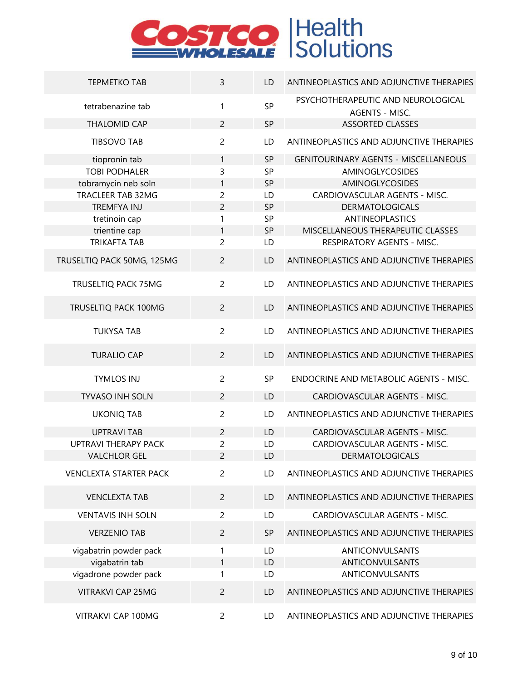

| <b>TEPMETKO TAB</b>           | 3              | LD        | ANTINEOPLASTICS AND ADJUNCTIVE THERAPIES             |
|-------------------------------|----------------|-----------|------------------------------------------------------|
| tetrabenazine tab             | $\mathbf{1}$   | SP        | PSYCHOTHERAPEUTIC AND NEUROLOGICAL<br>AGENTS - MISC. |
| <b>THALOMID CAP</b>           | $\overline{2}$ | SP        | <b>ASSORTED CLASSES</b>                              |
| <b>TIBSOVO TAB</b>            | $\overline{c}$ | LD        | ANTINEOPLASTICS AND ADJUNCTIVE THERAPIES             |
| tiopronin tab                 | $\mathbf{1}$   | SP        | <b>GENITOURINARY AGENTS - MISCELLANEOUS</b>          |
| <b>TOBI PODHALER</b>          | 3              | SP        | AMINOGLYCOSIDES                                      |
| tobramycin neb soln           | 1              | SP        | AMINOGLYCOSIDES                                      |
| <b>TRACLEER TAB 32MG</b>      | $\overline{2}$ | LD        | CARDIOVASCULAR AGENTS - MISC.                        |
| TREMFYA INJ                   | $\overline{c}$ | SP        | <b>DERMATOLOGICALS</b>                               |
| tretinoin cap                 | 1              | SP        | <b>ANTINEOPLASTICS</b>                               |
| trientine cap                 | 1              | SP        | MISCELLANEOUS THERAPEUTIC CLASSES                    |
| <b>TRIKAFTA TAB</b>           | $\overline{2}$ | LD        | RESPIRATORY AGENTS - MISC.                           |
| TRUSELTIQ PACK 50MG, 125MG    | $\overline{2}$ | LD        | ANTINEOPLASTICS AND ADJUNCTIVE THERAPIES             |
| TRUSELTIQ PACK 75MG           | $\overline{2}$ | LD        | ANTINEOPLASTICS AND ADJUNCTIVE THERAPIES             |
| TRUSELTIQ PACK 100MG          | $\overline{2}$ | LD        | ANTINEOPLASTICS AND ADJUNCTIVE THERAPIES             |
| <b>TUKYSA TAB</b>             | $\overline{2}$ | LD        | ANTINEOPLASTICS AND ADJUNCTIVE THERAPIES             |
| <b>TURALIO CAP</b>            | $\overline{2}$ | LD        | ANTINEOPLASTICS AND ADJUNCTIVE THERAPIES             |
| <b>TYMLOS INJ</b>             | $\overline{2}$ | SP        | ENDOCRINE AND METABOLIC AGENTS - MISC.               |
| <b>TYVASO INH SOLN</b>        | $\overline{2}$ | LD        | CARDIOVASCULAR AGENTS - MISC.                        |
| <b>UKONIQ TAB</b>             | $\overline{c}$ | LD        | ANTINEOPLASTICS AND ADJUNCTIVE THERAPIES             |
| <b>UPTRAVI TAB</b>            | $\overline{2}$ | LD        | CARDIOVASCULAR AGENTS - MISC.                        |
| <b>UPTRAVI THERAPY PACK</b>   | $\overline{c}$ | LD        | CARDIOVASCULAR AGENTS - MISC.                        |
| <b>VALCHLOR GEL</b>           | $\overline{c}$ | LD        | <b>DERMATOLOGICALS</b>                               |
| <b>VENCLEXTA STARTER PACK</b> | $\overline{2}$ | LD        | ANTINEOPLASTICS AND ADJUNCTIVE THERAPIES             |
| <b>VENCLEXTA TAB</b>          | $\overline{2}$ | LD        | ANTINEOPLASTICS AND ADJUNCTIVE THERAPIES             |
| <b>VENTAVIS INH SOLN</b>      | $\overline{2}$ | LD        | CARDIOVASCULAR AGENTS - MISC.                        |
| <b>VERZENIO TAB</b>           | $\overline{2}$ | <b>SP</b> | ANTINEOPLASTICS AND ADJUNCTIVE THERAPIES             |
| vigabatrin powder pack        | 1              | LD        | ANTICONVULSANTS                                      |
| vigabatrin tab                | $\mathbf{1}$   | LD        | ANTICONVULSANTS                                      |
| vigadrone powder pack         | 1              | LD        | ANTICONVULSANTS                                      |
| <b>VITRAKVI CAP 25MG</b>      | $\overline{2}$ | LD        | ANTINEOPLASTICS AND ADJUNCTIVE THERAPIES             |
| VITRAKVI CAP 100MG            | $\overline{2}$ | LD        | ANTINEOPLASTICS AND ADJUNCTIVE THERAPIES             |